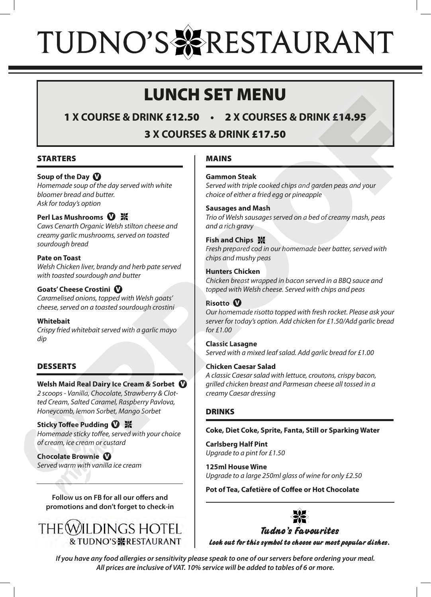# TUDNO'S & RESTAURANT

## LUNCH SET MENU

1 **X COURSE & DRINK** £12.50 **•** 2 **X COURSES & DRINK** £14.95

3 **X COURSES & DRINK** £17.50

#### STARTERS

#### **Soup of the Day**  V

*Homemade soup of the day served with white bloomer bread and butter. Ask for today's option* 

#### **Perl Las Mushrooms** V

*Caws Cenarth Organic Welsh stilton cheese and creamy garlic mushrooms, served on toasted sourdough bread* 

#### **Pate on Toast**

*Welsh Chicken liver, brandy and herb pate served with toasted sourdough and butter* 

#### **Goats' Cheese Crostini** V

*Caramelised onions, topped with Welsh goats' cheese, served on a toasted sourdough crostini* 

#### **Whitebait**

*Crispy fried whitebait served with a garlic mayo dip* 

#### DESSERTS

**Welsh Maid Real Dairy Ice Cream & Sorbet** V *2 scoops - Vanilla, Chocolate, Strawberry & Clotted Cream, Salted Caramel, Raspberry Pavlova, Honeycomb, lemon Sorbet, Mango Sorbet*

#### **Sticky Toffee Pudding**  V *Homemade sticky toffee, served with your choice of cream, ice cream or custard*

**Chocolate Brownie**  V *Served warm with vanilla ice cream*

**Follow us on FB for all our offers and promotions and don't forget to check-in**



#### MAINS

#### **Gammon Steak**

*Served with triple cooked chips and garden peas and your choice of either a fried egg or pineapple* 

#### **Sausages and Mash**

*Trio of Welsh sausages served on a bed of creamy mash, peas and a rich gravy*

#### **Fish and Chips ※**

*Fresh prepared cod in our homemade beer batter, served with chips and mushy peas* 

#### **Hunters Chicken**

*Chicken breast wrapped in bacon served in a BBQ sauce and topped with Welsh cheese. Served with chips and peas* 

#### **Risotto** V

*Our homemade risotto topped with fresh rocket. Please ask your server for today's option. Add chicken for £1.50/Add garlic bread for £1.00*  **EQUIRES & DRINK £12.50** • 2 X COURSES & DRINK £14.95<br>
3 X COURSES & DRINK **£17.50**<br>
Day **O**<br>
Day On the day served with white<br>
d and butter.<br>
d and butter.<br>
Signing the day served with throne second<br>
Signing the conditio

#### **Classic Lasagne**

*Served with a mixed leaf salad. Add garlic bread for £1.00* 

#### **Chicken Caesar Salad**

*A classic Caesar salad with lettuce, croutons, crispy bacon, grilled chicken breast and Parmesan cheese all tossed in a creamy Caesar dressing* 

#### **DRINKS**

#### **Coke, Diet Coke, Sprite, Fanta, Still or Sparking Water**

**Carlsberg Half Pint**  *Upgrade to a pint for £1.50* 

**125ml House Wine**  *Upgrade to a large 250ml glass of wine for only £2.50* 

**Pot of Tea, Cafetière of Coffee or Hot Chocolate**



**Tudno's Favourites Look out for this symbol to choose our most popular dishes.**

*If you have any food allergies or sensitivity please speak to one of our servers before ordering your meal. All prices are inclusive of VAT. 10% service will be added to tables of 6 or more.*